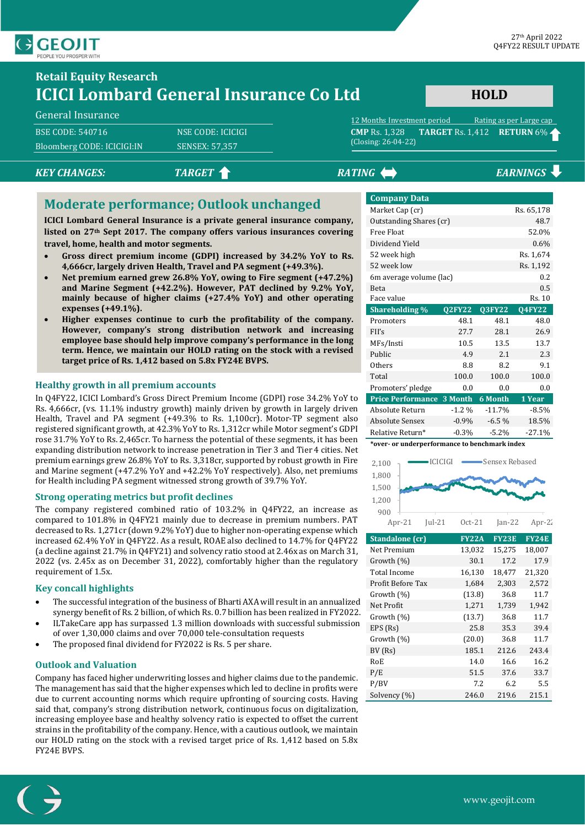

# **Retail Equity Research ICICI Lombard General Insurance Co Ltd**

#### General Insurance

BSE CODE: 540716 NSE CODE: ICICIGI Bloomberg CODE: ICICIGI:IN SENSEX: 57,357

# (Closing: 26-04-22)

# *KEY CHANGES:* TARGET **A EXAMPLE 2 TARGET A EXAMPLE 2 EARNINGS**

### **Moderate performance; Outlook unchanged**

**ICICI Lombard General Insurance is a private general insurance company, listed on 27th Sept 2017. The company offers various insurances covering travel, home, health and motor segments.**

- **Gross direct premium income (GDPI) increased by 34.2% YoY to Rs. 4,666cr, largely driven Health, Travel and PA segment (+49.3%).**
- **Net premium earned grew 26.8% YoY, owing to Fire segment (+47.2%) and Marine Segment (+42.2%). However, PAT declined by 9.2% YoY, mainly because of higher claims (+27.4% YoY) and other operating expenses (+49.1%).**
- **Higher expenses continue to curb the profitability of the company. However, company's strong distribution network and increasing employee base should help improve company's performance in the long term. Hence, we maintain our HOLD rating on the stock with a revised target price of Rs. 1,412 based on 5.8x FY24E BVPS.**

### **Healthy growth in all premium accounts**

In Q4FY22, ICICI Lombard's Gross Direct Premium Income (GDPI) rose 34.2% YoY to Rs. 4,666cr, (vs. 11.1% industry growth) mainly driven by growth in largely driven Health, Travel and PA segment (+49.3% to Rs. 1,100cr). Motor-TP segment also registered significant growth, at 42.3% YoY to Rs. 1,312cr while Motor segment's GDPI rose 31.7% YoY to Rs. 2,465cr. To harness the potential of these segments, it has been expanding distribution network to increase penetration in Tier 3 and Tier 4 cities. Net premium earnings grew 26.8% YoY to Rs. 3,318cr, supported by robust growth in Fire and Marine segment (+47.2% YoY and +42.2% YoY respectively). Also, net premiums for Health including PA segment witnessed strong growth of 39.7% YoY.

### **Strong operating metrics but profit declines**

The company registered combined ratio of 103.2% in Q4FY22, an increase as compared to 101.8% in Q4FY21 mainly due to decrease in premium numbers. PAT decreased to Rs. 1,271cr (down 9.2% YoY) due to higher non-operating expense which increased 62.4% YoY in Q4FY22. As a result, ROAE also declined to 14.7% for Q4FY22 (a decline against 21.7% in Q4FY21) and solvency ratio stood at 2.46x as on March 31, 2022 (vs. 2.45x as on December 31, 2022), comfortably higher than the regulatory requirement of 1.5x.

### **Key concall highlights**

- The successful integration of the business of Bharti AXA will result in an annualized synergy benefit of Rs. 2 billion, of which Rs. 0.7 billion has been realized in FY2022. • ILTakeCare app has surpassed 1.3 million downloads with successful submission
- of over 1,30,000 claims and over 70,000 tele-consultation requests
- The proposed final dividend for FY2022 is Rs. 5 per share.

### **Outlook and Valuation**

Company has faced higher underwriting losses and higher claims due to the pandemic. The management has said that the higher expenses which led to decline in profits were due to current accounting norms which require upfronting of sourcing costs. Having said that, company's strong distribution network, continuous focus on digitalization, increasing employee base and healthy solvency ratio is expected to offset the current strains in the profitability of the company. Hence, with a cautious outlook, we maintain our HOLD rating on the stock with a revised target price of Rs. 1,412 based on 5.8x FY24E BVPS.

| <b>Company Data</b>            |               |          |               |  |  |
|--------------------------------|---------------|----------|---------------|--|--|
| Market Cap (cr)                |               |          | Rs. 65,178    |  |  |
| Outstanding Shares (cr)        |               |          | 48.7          |  |  |
| Free Float                     |               |          | 52.0%         |  |  |
| Dividend Yield                 |               |          | 0.6%          |  |  |
| 52 week high                   |               |          | Rs. 1,674     |  |  |
| 52 week low                    |               |          | Rs. 1,192     |  |  |
| 0.2<br>6m average volume (lac) |               |          |               |  |  |
| Beta                           |               |          | 0.5           |  |  |
| Face value                     |               |          | Rs. 10        |  |  |
| <b>Shareholding %</b>          | <b>Q2FY22</b> | Q3FY22   | <b>Q4FY22</b> |  |  |
| Promoters                      | 48.1          | 48.1     | 48.0          |  |  |
|                                |               |          |               |  |  |
| FII's                          | 27.7          | 28.1     | 26.9          |  |  |
| MFs/Insti                      | 10.5          | 13.5     | 13.7          |  |  |
| Public                         | 4.9           | 2.1      | 2.3           |  |  |
| Others                         | 8.8           | 8.2      | 9.1           |  |  |
| Total                          | 100.0         | 100.0    | 100.0         |  |  |
| Promoters' pledge              | 0.0           | 0.0      | 0.0           |  |  |
| <b>Price Performance</b>       | 3 Month       | 6 Month  | 1 Year        |  |  |
| Absolute Return                | $-1.2\%$      | $-11.7%$ | $-8.5%$       |  |  |
| <b>Absolute Sensex</b>         | $-0.9\%$      | $-6.5%$  | 18.5%         |  |  |
| Relative Return*               | $-0.3%$       | $-5.2%$  | $-27.1%$      |  |  |

12 Months Investment period Rating as per Large cap **CMP** Rs. 1,328 **TARGET** Rs. 1,412 **RETURN** 6%

**HOLD**

**\*over- or underperformance to benchmark index**



| Standalone (cr)   | <b>FY22A</b> | <b>FY23E</b> | <b>FY24E</b> |
|-------------------|--------------|--------------|--------------|
| Net Premium       | 13,032       | 15,275       | 18,007       |
| Growth $(\%)$     | 30.1         | 17.2         | 17.9         |
| Total Income      | 16,130       | 18,477       | 21,320       |
| Profit Before Tax | 1,684        | 2,303        | 2,572        |
| Growth $(\%)$     | (13.8)       | 36.8         | 11.7         |
| Net Profit        | 1,271        | 1,739        | 1,942        |
| Growth $(\%)$     | (13.7)       | 36.8         | 11.7         |
| EPS (Rs)          | 25.8         | 35.3         | 39.4         |
| Growth (%)        | (20.0)       | 36.8         | 11.7         |
| BV(Rs)            | 185.1        | 212.6        | 243.4        |
| RoE               | 14.0         | 16.6         | 16.2         |
| P/E               | 51.5         | 37.6         | 33.7         |
| P/BV              | 7.2          | 6.2          | 5.5          |
| Solvency (%)      | 246.0        | 219.6        | 215.1        |

www.geojit.com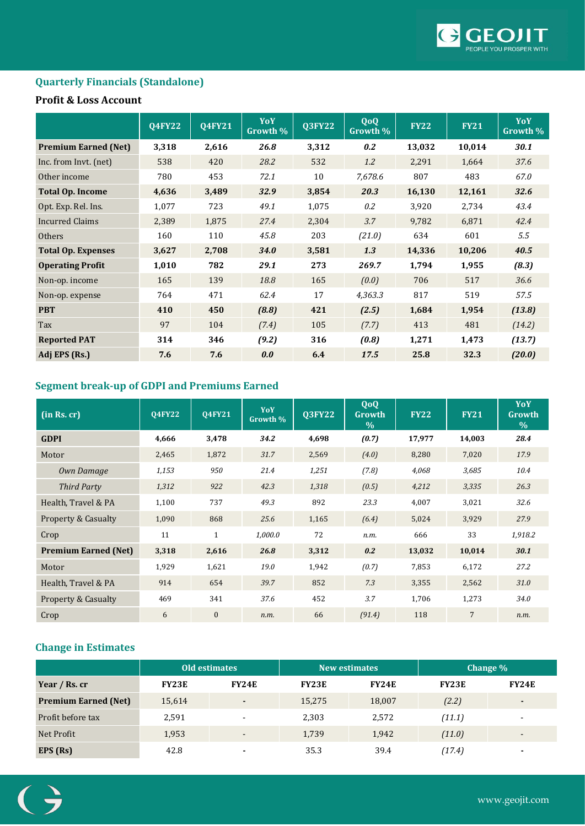

### **Quarterly Financials (Standalone)**

### **Profit & Loss Account**

|                             | <b>Q4FY22</b> | <b>Q4FY21</b> | YoY<br>Growth % | <b>Q3FY22</b> | <b>QoQ</b><br>Growth % | <b>FY22</b> | <b>FY21</b> | YoY<br>Growth % |
|-----------------------------|---------------|---------------|-----------------|---------------|------------------------|-------------|-------------|-----------------|
| <b>Premium Earned (Net)</b> | 3,318         | 2,616         | 26.8            | 3,312         | 0.2                    | 13,032      | 10,014      | 30.1            |
| Inc. from Invt. (net)       | 538           | 420           | 28.2            | 532           | 1.2                    | 2,291       | 1,664       | 37.6            |
| Other income                | 780           | 453           | 72.1            | 10            | 7,678.6                | 807         | 483         | 67.0            |
| <b>Total Op. Income</b>     | 4,636         | 3,489         | 32.9            | 3,854         | 20.3                   | 16,130      | 12,161      | 32.6            |
| Opt. Exp. Rel. Ins.         | 1,077         | 723           | 49.1            | 1,075         | 0.2                    | 3,920       | 2,734       | 43.4            |
| <b>Incurred Claims</b>      | 2,389         | 1,875         | 27.4            | 2,304         | 3.7                    | 9,782       | 6,871       | 42.4            |
| Others                      | 160           | 110           | 45.8            | 203           | (21.0)                 | 634         | 601         | 5.5             |
| <b>Total Op. Expenses</b>   | 3,627         | 2,708         | <b>34.0</b>     | 3,581         | 1.3                    | 14,336      | 10,206      | 40.5            |
| <b>Operating Profit</b>     | 1,010         | 782           | 29.1            | 273           | 269.7                  | 1,794       | 1,955       | (8.3)           |
| Non-op. income              | 165           | 139           | 18.8            | 165           | (0.0)                  | 706         | 517         | 36.6            |
| Non-op. expense             | 764           | 471           | 62.4            | 17            | 4,363.3                | 817         | 519         | 57.5            |
| <b>PBT</b>                  | 410           | 450           | (8.8)           | 421           | (2.5)                  | 1,684       | 1,954       | (13.8)          |
| Tax                         | 97            | 104           | (7.4)           | 105           | (7.7)                  | 413         | 481         | (14.2)          |
| <b>Reported PAT</b>         | 314           | 346           | (9.2)           | 316           | (0.8)                  | 1,271       | 1,473       | (13.7)          |
| Adj EPS (Rs.)               | 7.6           | 7.6           | 0.0             | 6.4           | 17.5                   | 25.8        | 32.3        | (20.0)          |

# **Segment break-up of GDPI and Premiums Earned**

| (in Rs, cr)                    | <b>04FY22</b> | <b>04FY21</b> | YoY<br>Growth % | <b>Q3FY22</b> | QoQ<br>Growth<br>$\frac{0}{0}$ | <b>FY22</b> | <b>FY21</b>    | YoY<br>Growth<br>$\%$ |
|--------------------------------|---------------|---------------|-----------------|---------------|--------------------------------|-------------|----------------|-----------------------|
| <b>GDPI</b>                    | 4,666         | 3,478         | 34.2            | 4,698         | (0.7)                          | 17,977      | 14,003         | 28.4                  |
| Motor                          | 2,465         | 1,872         | 31.7            | 2,569         | (4.0)                          | 8,280       | 7,020          | 17.9                  |
| Own Damage                     | 1,153         | 950           | 21.4            | 1,251         | (7.8)                          | 4,068       | 3,685          | 10.4                  |
| Third Party                    | 1,312         | 922           | 42.3            | 1,318         | (0.5)                          | 4,212       | 3,335          | 26.3                  |
| Health, Travel & PA            | 1,100         | 737           | 49.3            | 892           | 23.3                           | 4,007       | 3,021          | 32.6                  |
| <b>Property &amp; Casualty</b> | 1,090         | 868           | 25.6            | 1,165         | (6.4)                          | 5,024       | 3,929          | 27.9                  |
| Crop                           | 11            | $\mathbf{1}$  | 1,000.0         | 72            | n.m.                           | 666         | 33             | 1,918.2               |
| <b>Premium Earned (Net)</b>    | 3,318         | 2,616         | 26.8            | 3,312         | 0.2                            | 13,032      | 10,014         | 30.1                  |
| Motor                          | 1,929         | 1,621         | 19.0            | 1,942         | (0.7)                          | 7,853       | 6,172          | 27.2                  |
| Health, Travel & PA            | 914           | 654           | 39.7            | 852           | 7.3                            | 3,355       | 2,562          | 31.0                  |
| <b>Property &amp; Casualty</b> | 469           | 341           | 37.6            | 452           | 3.7                            | 1,706       | 1,273          | 34.0                  |
| Crop                           | 6             | $\mathbf{0}$  | n.m.            | 66            | (91.4)                         | 118         | $\overline{7}$ | n.m.                  |

# **Change in Estimates**

|                             | <b>Old estimates</b> |                          | <b>New estimates</b> |              | Change $\%$  |              |
|-----------------------------|----------------------|--------------------------|----------------------|--------------|--------------|--------------|
| Year / Rs. cr               | <b>FY23E</b>         | <b>FY24E</b>             | <b>FY23E</b>         | <b>FY24E</b> | <b>FY23E</b> | <b>FY24E</b> |
| <b>Premium Earned (Net)</b> | 15,614               | ٠                        | 15,275               | 18,007       | (2.2)        | ۰            |
| Profit before tax           | 2,591                | $\blacksquare$           | 2,303                | 2,572        | (11.1)       |              |
| Net Profit                  | 1,953                | $\overline{\phantom{0}}$ | 1,739                | 1,942        | (11.0)       |              |
| EPS (Rs)                    | 42.8                 |                          | 35.3                 | 39.4         | (17.4)       | ۰            |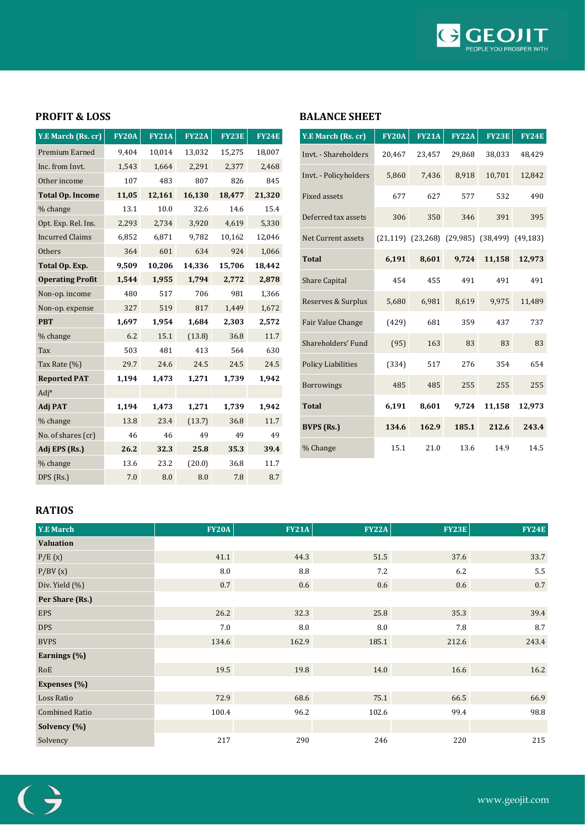

### **PROFIT & LOSS**

| Y.E March (Rs. cr)      | <b>FY20A</b> | <b>FY21A</b> | <b>FY22A</b> | <b>FY23E</b> | <b>FY24E</b> |
|-------------------------|--------------|--------------|--------------|--------------|--------------|
| Premium Earned          | 9,404        | 10,014       | 13,032       | 15,275       | 18,007       |
| Inc. from Invt.         | 1,543        | 1,664        | 2,291        | 2,377        | 2,468        |
| Other income            | 107          | 483          | 807          | 826          | 845          |
| <b>Total Op. Income</b> | 11,05        | 12,161       | 16,130       | 18,477       | 21,320       |
| % change                | 13.1         | 10.0         | 32.6         | 14.6         | 15.4         |
| Opt. Exp. Rel. Ins.     | 2,293        | 2,734        | 3,920        | 4,619        | 5,330        |
| <b>Incurred Claims</b>  | 6,852        | 6,871        | 9,782        | 10,162       | 12,046       |
| Others                  | 364          | 601          | 634          | 924          | 1,066        |
| Total Op. Exp.          | 9,509        | 10,206       | 14,336       | 15,706       | 18,442       |
| <b>Operating Profit</b> | 1,544        | 1,955        | 1,794        | 2,772        | 2,878        |
| Non-op. income          | 480          | 517          | 706          | 981          | 1,366        |
| Non-op. expense         | 327          | 519          | 817          | 1,449        | 1,672        |
| <b>PBT</b>              | 1,697        | 1,954        | 1,684        | 2,303        | 2,572        |
| % change                | 6.2          | 15.1         | (13.8)       | 36.8         | 11.7         |
| Tax                     | 503          | 481          | 413          | 564          | 630          |
| Tax Rate (%)            | 29.7         | 24.6         | 24.5         | 24.5         | 24.5         |
| <b>Reported PAT</b>     | 1,194        | 1,473        | 1,271        | 1,739        | 1,942        |
| $Adj*$                  |              |              |              |              |              |
| <b>Adj PAT</b>          | 1,194        | 1,473        | 1,271        | 1,739        | 1,942        |
| % change                | 13.8         | 23.4         | (13.7)       | 36.8         | 11.7         |
| No. of shares (cr)      | 46           | 46           | 49           | 49           | 49           |
| Adj EPS (Rs.)           | 26.2         | 32.3         | 25.8         | 35.3         | 39.4         |
| % change                | 13.6         | 23.2         | (20.0)       | 36.8         | 11.7         |
| DPS (Rs.)               | 7.0          | 8.0          | 8.0          | 7.8          | 8.7          |

### **BALANCE SHEET**

| Y.E March (Rs. cr)        | <b>FY20A</b> | <b>FY21A</b> | <b>FY22A</b>                                                | <b>FY23E</b> | <b>FY24E</b> |
|---------------------------|--------------|--------------|-------------------------------------------------------------|--------------|--------------|
| Invt. - Shareholders      | 20,467       | 23,457       | 29,868                                                      | 38,033       | 48,429       |
| Invt. - Policyholders     | 5,860        | 7,436        | 8,918                                                       | 10,701       | 12,842       |
| <b>Fixed assets</b>       | 677          | 627          | 577                                                         | 532          | 490          |
| Deferred tax assets       | 306          | 350          | 346                                                         | 391          | 395          |
| Net Current assets        |              |              | $(21, 119)$ $(23, 268)$ $(29, 985)$ $(38, 499)$ $(49, 183)$ |              |              |
| <b>Total</b>              | 6,191        | 8,601        | 9,724                                                       | 11,158       | 12,973       |
| <b>Share Capital</b>      | 454          | 455          | 491                                                         | 491          | 491          |
| Reserves & Surplus        | 5,680        | 6,981        | 8,619                                                       | 9,975        | 11,489       |
| Fair Value Change         | (429)        | 681          | 359                                                         | 437          | 737          |
| Shareholders' Fund        | (95)         | 163          | 83                                                          | 83           | 83           |
| <b>Policy Liabilities</b> | (334)        | 517          | 276                                                         | 354          | 654          |
| <b>Borrowings</b>         | 485          | 485          | 255                                                         | 255          | 255          |
| <b>Total</b>              | 6,191        | 8,601        | 9,724                                                       | 11,158       | 12,973       |
| <b>BVPS</b> (Rs.)         | 134.6        | 162.9        | 185.1                                                       | 212.6        | 243.4        |
| % Change                  | 15.1         | 21.0         | 13.6                                                        | 14.9         | 14.5         |

### **RATIOS**

| Y.E March             | <b>FY20A</b> | <b>FY21A</b> | <b>FY22A</b> | <b>FY23E</b> | <b>FY24E</b> |
|-----------------------|--------------|--------------|--------------|--------------|--------------|
| <b>Valuation</b>      |              |              |              |              |              |
| P/E(x)                | 41.1         | 44.3         | 51.5         | 37.6         | 33.7         |
| P/BV(x)               | 8.0          | 8.8          | 7.2          | 6.2          | 5.5          |
| Div. Yield (%)        | $0.7\,$      | 0.6          | $0.6\,$      | 0.6          | $0.7\,$      |
| Per Share (Rs.)       |              |              |              |              |              |
| <b>EPS</b>            | 26.2         | 32.3         | 25.8         | 35.3         | 39.4         |
| <b>DPS</b>            | 7.0          | 8.0          | 8.0          | 7.8          | 8.7          |
| <b>BVPS</b>           | 134.6        | 162.9        | 185.1        | 212.6        | 243.4        |
| Earnings (%)          |              |              |              |              |              |
| RoE                   | 19.5         | 19.8         | 14.0         | 16.6         | 16.2         |
| Expenses (%)          |              |              |              |              |              |
| Loss Ratio            | 72.9         | 68.6         | 75.1         | 66.5         | 66.9         |
| <b>Combined Ratio</b> | 100.4        | 96.2         | 102.6        | 99.4         | 98.8         |
| Solvency (%)          |              |              |              |              |              |
| Solvency              | 217          | 290          | 246          | 220          | 215          |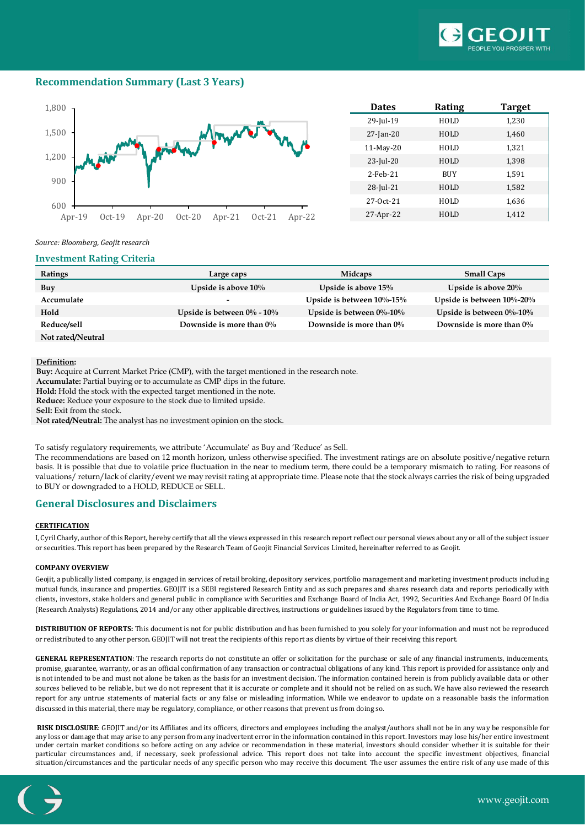

### **Recommendation Summary (Last 3 Years)**



| <b>Dates</b> | Rating      | <b>Target</b> |
|--------------|-------------|---------------|
| 29-Jul-19    | HOLD        | 1,230         |
| $27$ -Jan-20 | HOLD        | 1,460         |
| $11-May-20$  | HOLD        | 1,321         |
| 23-Jul-20    | HOLD        | 1,398         |
| $2$ -Feb-21  | <b>BUY</b>  | 1,591         |
| 28-Jul-21    | HOLD        | 1,582         |
| $27-0ct-21$  | <b>HOLD</b> | 1,636         |
| 27-Apr-22    | HOLD        | 1,412         |

#### *Source: Bloomberg, Geojit research*

#### **Investment Rating Criteria**

| Ratings           | Large caps                       | <b>Midcaps</b>                | <b>Small Caps</b>             |
|-------------------|----------------------------------|-------------------------------|-------------------------------|
| Buy               | Upside is above $10\%$           | Upside is above 15%           | Upside is above $20\%$        |
| Accumulate        |                                  | Upside is between $10\%$ -15% | Upside is between $10\%$ -20% |
| Hold              | Upside is between $0\%$ - $10\%$ | Upside is between $0\%$ -10%  | Upside is between $0\%$ -10%  |
| Reduce/sell       | Downside is more than $0\%$      | Downside is more than $0\%$   | Downside is more than $0\%$   |
| Not rated/Neutral |                                  |                               |                               |

#### **Definition:**

**Buy:** Acquire at Current Market Price (CMP), with the target mentioned in the research note.

**Accumulate:** Partial buying or to accumulate as CMP dips in the future.

**Hold:** Hold the stock with the expected target mentioned in the note.

**Reduce:** Reduce your exposure to the stock due to limited upside.

**Sell:** Exit from the stock.

**Not rated/Neutral:** The analyst has no investment opinion on the stock.

To satisfy regulatory requirements, we attribute 'Accumulate' as Buy and 'Reduce' as Sell.

The recommendations are based on 12 month horizon, unless otherwise specified. The investment ratings are on absolute positive/negative return basis. It is possible that due to volatile price fluctuation in the near to medium term, there could be a temporary mismatch to rating. For reasons of valuations/ return/lack of clarity/event we may revisit rating at appropriate time. Please note that the stock always carries the risk of being upgraded to BUY or downgraded to a HOLD, REDUCE or SELL.

#### **General Disclosures and Disclaimers**

#### **CERTIFICATION**

I, Cyril Charly, author of this Report, hereby certify that all the views expressed in this research report reflect our personal views about any or all of the subject issuer or securities. This report has been prepared by the Research Team of Geojit Financial Services Limited, hereinafter referred to as Geojit.

#### **COMPANY OVERVIEW**

Geojit, a publically listed company, is engaged in services of retail broking, depository services, portfolio management and marketing investment products including mutual funds, insurance and properties. GEOJIT is a SEBI registered Research Entity and as such prepares and shares research data and reports periodically with clients, investors, stake holders and general public in compliance with Securities and Exchange Board of India Act, 1992, Securities And Exchange Board Of India (Research Analysts) Regulations, 2014 and/or any other applicable directives, instructions or guidelines issued by the Regulators from time to time.

**DISTRIBUTION OF REPORTS:** This document is not for public distribution and has been furnished to you solely for your information and must not be reproduced or redistributed to any other person. GEOJIT will not treat the recipients of this report as clients by virtue of their receiving this report.

**GENERAL REPRESENTATION**: The research reports do not constitute an offer or solicitation for the purchase or sale of any financial instruments, inducements, promise, guarantee, warranty, or as an official confirmation of any transaction or contractual obligations of any kind. This report is provided for assistance only and is not intended to be and must not alone be taken as the basis for an investment decision. The information contained herein is from publicly available data or other sources believed to be reliable, but we do not represent that it is accurate or complete and it should not be relied on as such. We have also reviewed the research report for any untrue statements of material facts or any false or misleading information. While we endeavor to update on a reasonable basis the information discussed in this material, there may be regulatory, compliance, or other reasons that prevent us from doing so.

**RISK DISCLOSURE**: GEOJIT and/or its Affiliates and its officers, directors and employees including the analyst/authors shall not be in any way be responsible for any loss or damage that may arise to any person from any inadvertent error in the information contained in this report. Investors may lose his/her entire investment under certain market conditions so before acting on any advice or recommendation in these material, investors should consider whether it is suitable for their particular circumstances and, if necessary, seek professional advice. This report does not take into account the specific investment objectives, financial situation/circumstances and the particular needs of any specific person who may receive this document. The user assumes the entire risk of any use made of this